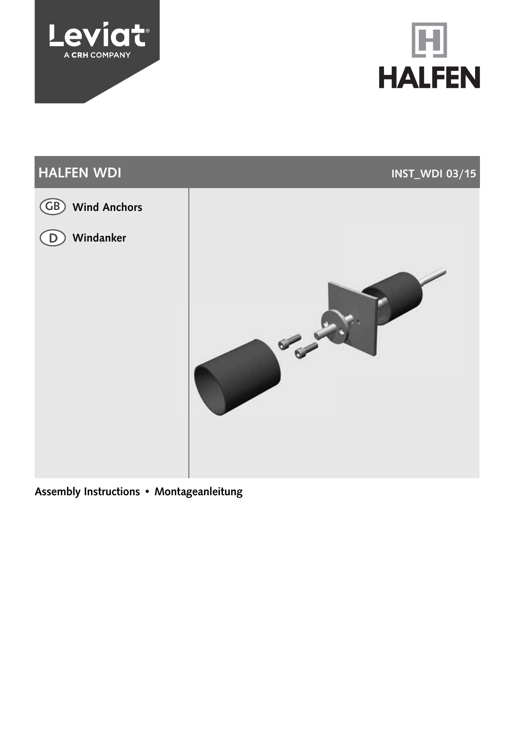





Assembly Instructions • Montageanleitung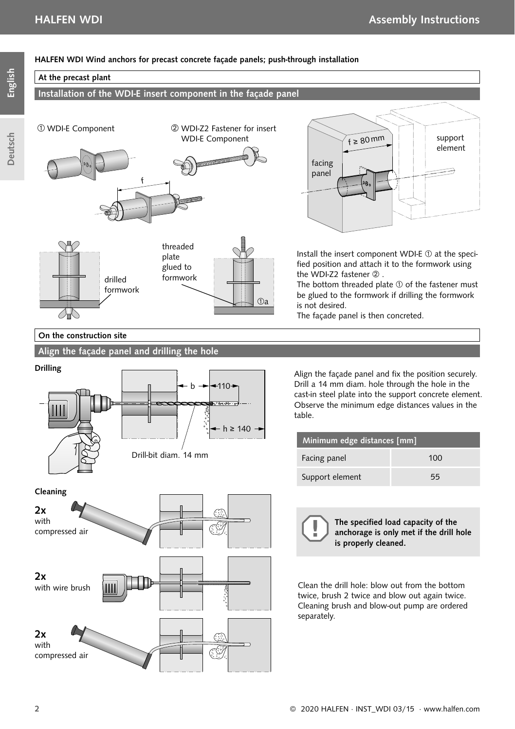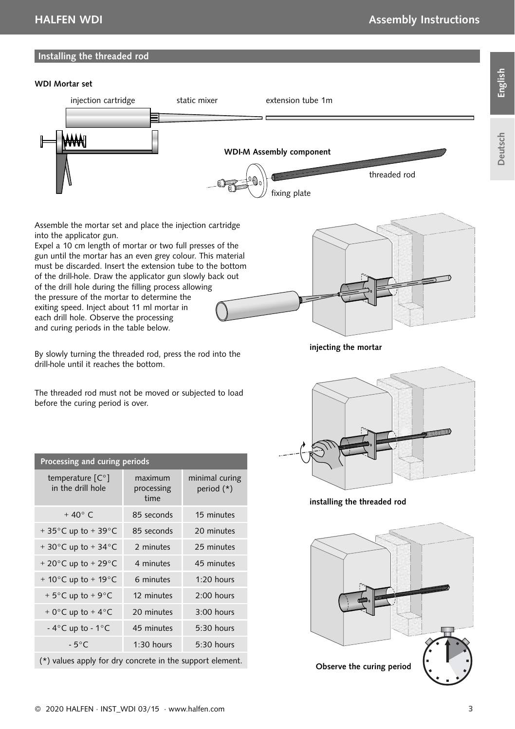# English

#### Installing the threaded rod

#### WDI Mortar set



Assemble the mortar set and place the injection cartridge into the applicator gun.

Expel a 10 cm length of mortar or two full presses of the gun until the mortar has an even grey colour. This material must be discarded. Insert the extension tube to the bottom of the drill-hole. Draw the applicator gun slowly back out of the drill hole during the filling process allowing the pressure of the mortar to determine the exiting speed. Inject about 11 ml mortar in each drill hole. Observe the processing and curing periods in the table below.



By slowly turning the threaded rod, press the rod into the drill-hole until it reaches the bottom.

injecting the mortar

The threaded rod must not be moved or subjected to load before the curing period is over.

| Processing and curing periods             |                               |                              |  |
|-------------------------------------------|-------------------------------|------------------------------|--|
| temperature [C°]<br>in the drill hole     | maximum<br>processing<br>time | minimal curing<br>period (*) |  |
| $+40^{\circ}$ C                           | 85 seconds                    | 15 minutes                   |  |
| +35 $\degree$ C up to +39 $\degree$ C     | 85 seconds                    | 20 minutes                   |  |
| +30 $^{\circ}$ C up to +34 $^{\circ}$ C   | 2 minutes                     | 25 minutes                   |  |
| + 20 $^{\circ}$ C up to + 29 $^{\circ}$ C | 4 minutes                     | 45 minutes                   |  |
| + 10 $^{\circ}$ C up to + 19 $^{\circ}$ C | 6 minutes                     | $1:20$ hours                 |  |
| +5 $\degree$ C up to +9 $\degree$ C       | 12 minutes                    | $2:00$ hours                 |  |
| + $0^{\circ}$ C up to + 4 $^{\circ}$ C    | 20 minutes                    | $3:00$ hours                 |  |
| - $4^{\circ}$ C up to - $1^{\circ}$ C     | 45 minutes                    | $5:30$ hours                 |  |
| $-5^{\circ}$ C                            | $1:30$ hours                  | $5:30$ hours                 |  |

(\*) values apply for dry concrete in the support element.



installing the threaded rod

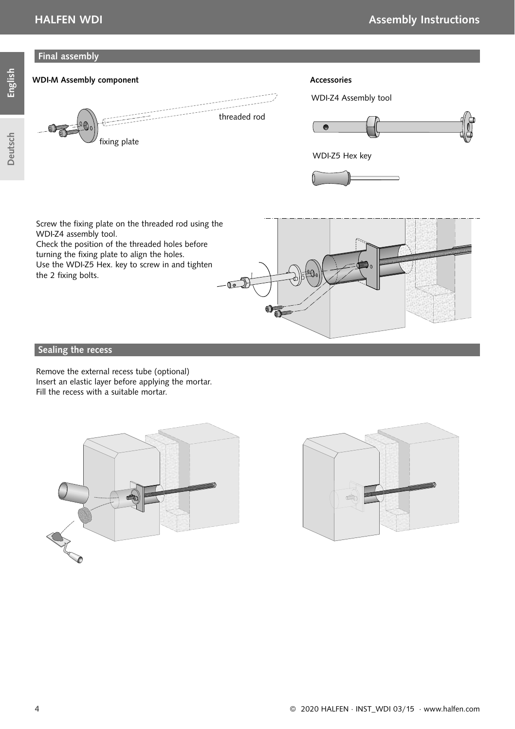#### Final assembly



turning the fixing plate to align the holes.

Use the WDI-Z5 Hex. key to screw in and tighten the 2 fixing bolts.



### Sealing the recess

Remove the external recess tube (optional) Insert an elastic layer before applying the mortar. Fill the recess with a suitable mortar.





English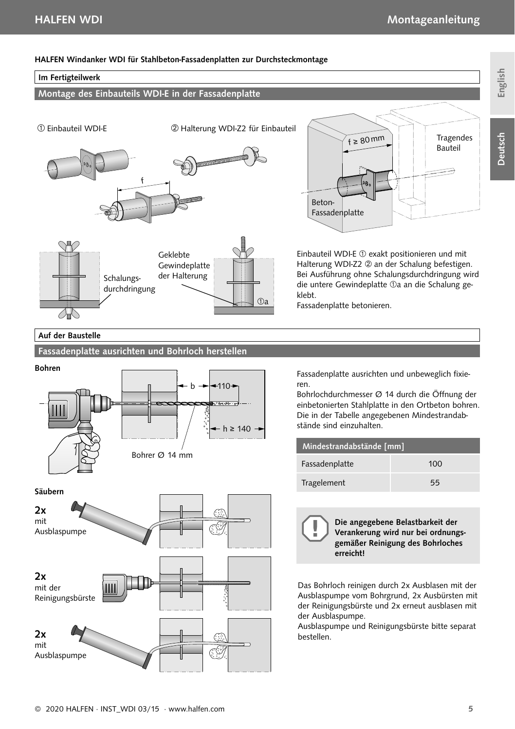Tragendes

#### HALFEN Windanker WDI für Stahlbeton-Fassadenplatten zur Durchsteckmontage

#### Im Fertigteilwerk

Montage des Einbauteils WDI-E in der Fassadenplatte

Einbauteil WDI-E Halterung WDI-Z2 für Einbauteil





Beton-Fassadenplatte Bauteil

f ≥ 80 mm

Einbauteil WDI-E  $\textcircled{1}$  exakt positionieren und mit Halterung WDI-Z2 2 an der Schalung befestigen. Bei Ausführung ohne Schalungsdurchdringung wird die untere Gewindeplatte <sub>10</sub> an die Schalung geklebt.

Fassadenplatte betonieren.

#### Auf der Baustelle

Säubern

#### Fassadenplatte ausrichten und Bohrloch herstellen



Fassadenplatte ausrichten und unbeweglich fixieren.

Bohrlochdurchmesser Ø 14 durch die Öffnung der einbetonierten Stahlplatte in den Ortbeton bohren. Die in der Tabelle angegebenen Mindestrandabstände sind einzuhalten.

| Mindestrandabstände [mm] |     |  |  |
|--------------------------|-----|--|--|
| Fassadenplatte           | 100 |  |  |
| Tragelement              | 55  |  |  |

Die angegebene Belastbarkeit der Verankerung wird nur bei ordnungsgemäßer Reinigung des Bohrloches erreicht! Das Bohrloch reinigen durch 2x Ausblasen mit der

Ausblaspumpe vom Bohrgrund, 2x Ausbürsten mit der Reinigungsbürste und 2x erneut ausblasen mit der Ausblaspumpe.

Ausblaspumpe und Reinigungsbürste bitte separat bestellen.



**Deutsch**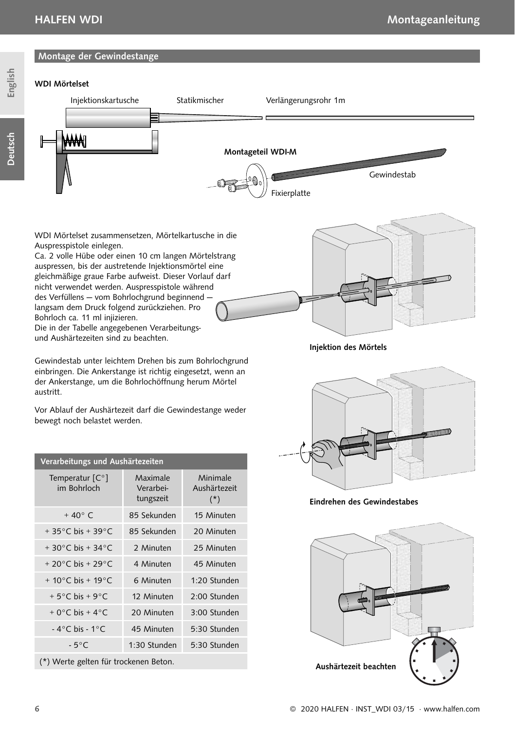Deutsch



WDI Mörtelset zusammensetzen, Mörtelkartusche in die Auspresspistole einlegen.

Ca. 2 volle Hübe oder einen 10 cm langen Mörtelstrang auspressen, bis der austretende Injektionsmörtel eine gleichmäßige graue Farbe aufweist. Dieser Vorlauf darf nicht verwendet werden. Auspresspistole während des Verfüllens — vom Bohrlochgrund beginnend langsam dem Druck folgend zurückziehen. Pro Bohrloch ca. 11 ml injizieren. Die in der Tabelle angegebenen Verarbeitungs-

und Aushärtezeiten sind zu beachten.

Gewindestab unter leichtem Drehen bis zum Bohrlochgrund einbringen. Die Ankerstange ist richtig eingesetzt, wenn an der Ankerstange, um die Bohrlochöffnung herum Mörtel austritt.

Vor Ablauf der Aushärtezeit darf die Gewindestange weder bewegt noch belastet werden.

| Verarbeitungs und Aushärtezeiten        |                                    |                                   |  |
|-----------------------------------------|------------------------------------|-----------------------------------|--|
| Temperatur $[C^{\circ}]$<br>im Bohrloch | Maximale<br>Verarbei-<br>tungszeit | Minimale<br>Aushärtezeit<br>$(*)$ |  |
| $+40^{\circ}$ C                         | 85 Sekunden                        | 15 Minuten                        |  |
| $+35^{\circ}$ C bis $+39^{\circ}$ C     | 85 Sekunden                        | 20 Minuten                        |  |
| $+30^{\circ}$ C bis $+34^{\circ}$ C     | 2 Minuten                          | 25 Minuten                        |  |
| + 20 $^{\circ}$ C bis + 29 $^{\circ}$ C | 4 Minuten                          | 45 Minuten                        |  |
| $+ 10^{\circ}$ C bis + 19 $^{\circ}$ C  | 6 Minuten                          | $1.20$ Stunden                    |  |
| $+5^{\circ}$ C bis + 9 $^{\circ}$ C     | 12 Minuten                         | 2:00 Stunden                      |  |
| $+0$ °C bis + 4°C                       | 20 Minuten                         | 3:00 Stunden                      |  |
| $-4^{\circ}$ C bis - 1 $^{\circ}$ C     | 45 Minuten                         | 5:30 Stunden                      |  |
| $-5^{\circ}$ C                          | 1:30 Stunden                       | 5:30 Stunden                      |  |
| (*) Werte gelten für trockenen Beton.   |                                    |                                   |  |

Injektion des Mörtels



Eindrehen des Gewindestabes

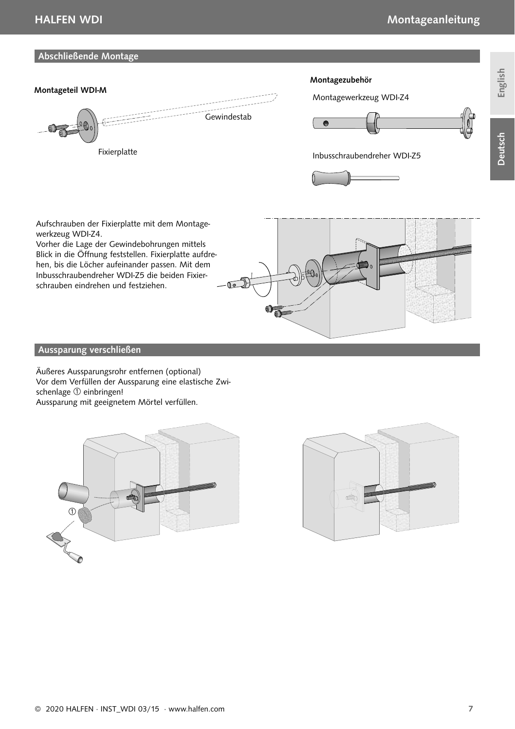#### Abschließende Montage



Aufschrauben der Fixierplatte mit dem Montagewerkzeug WDI-Z4.

Vorher die Lage der Gewindebohrungen mittels Blick in die Öffnung feststellen. Fixierplatte aufdrehen, bis die Löcher aufeinander passen. Mit dem Inbusschraubendreher WDI-Z5 die beiden Fixierschrauben eindrehen und festziehen.



#### Aussparung verschließen

Äußeres Aussparungsrohr entfernen (optional) Vor dem Verfüllen der Aussparung eine elastische Zwischenlage  $\textcircled{\scriptsize{1}}$  einbringen! Aussparung mit geeignetem Mörtel verfüllen.